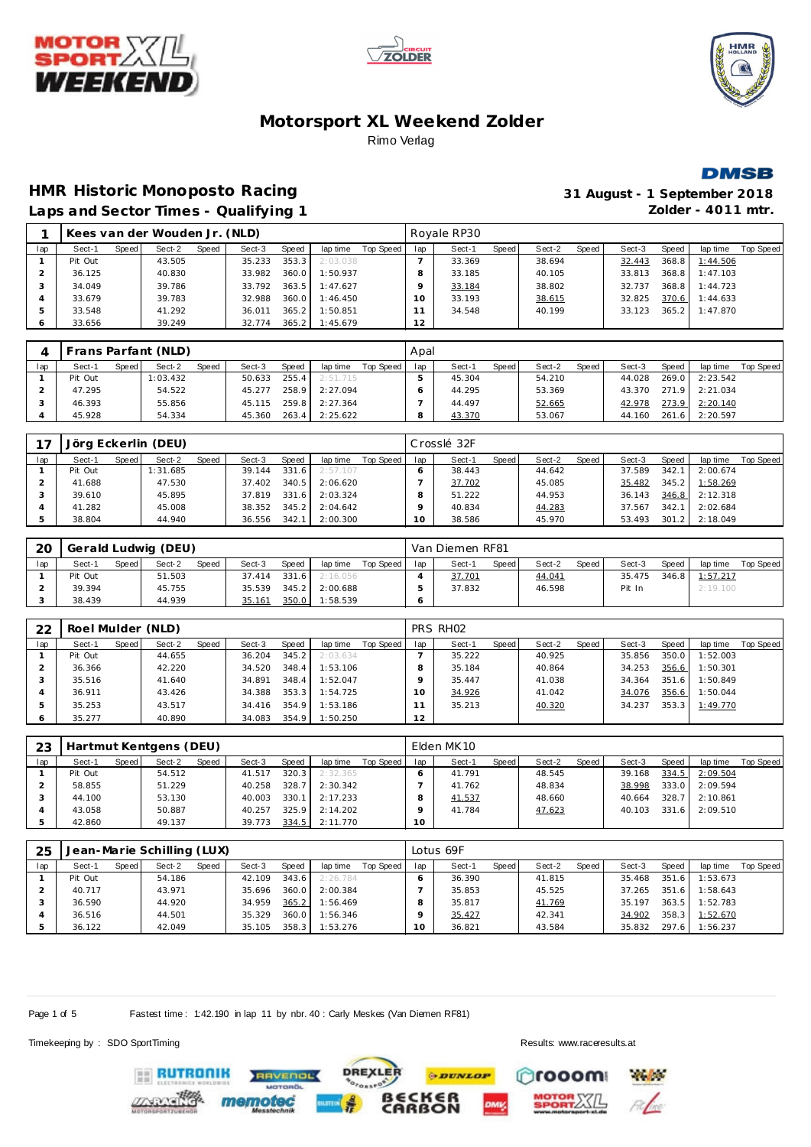







# **HMR Historic Monoposto Racing 31 August - 1 September 2018**

**Laps and Sector Times - Qualifying 1 Zolder - 4011 mtr.**

|  |  | Laps and Sector Times - Qualifying 1 |  |
|--|--|--------------------------------------|--|
|  |  |                                      |  |

|     |         |       | Kees van der Wouden Jr. (NLD) |       |        |              |          |           |          | Royale RP30 |       |        |       |        |       |          |           |
|-----|---------|-------|-------------------------------|-------|--------|--------------|----------|-----------|----------|-------------|-------|--------|-------|--------|-------|----------|-----------|
| lap | Sect-1  | Speed | Sect-2                        | Speed | Sect-3 | <b>Speed</b> | lap time | Top Speed | lap      | Sect-1      | Speed | Sect-2 | Speed | Sect-3 | Speed | lap time | Top Speed |
|     | Pit Out |       | 43.505                        |       | 35.233 | 353.3        | 2:03.038 |           |          | 33.369      |       | 38.694 |       | 32.443 | 368.8 | 1:44.506 |           |
|     | 36.125  |       | 40.830                        |       | 33.982 | 360.0        | 1:50.937 |           | 8        | 33.185      |       | 40.105 |       | 33.813 | 368.8 | 1:47.103 |           |
|     | 34.049  |       | 39.786                        |       | 33.792 | 363.5        | 1:47.627 |           |          | 33.184      |       | 38.802 |       | 32.737 | 368.8 | 1:44.723 |           |
| 4   | 33.679  |       | 39.783                        |       | 32.988 | 360.0        | 1:46.450 |           | $\Omega$ | 33.193      |       | 38.615 |       | 32.825 | 370.6 | 1:44.633 |           |
|     | 33.548  |       | 41.292                        |       | 36.011 | 365.2        | 1:50.851 |           |          | 34.548      |       | 40.199 |       | 33.123 | 365.2 | 1:47.870 |           |
|     | 33.656  |       | 39.249                        |       | 32.774 | 365.2        | 1:45.679 |           | 12       |             |       |        |       |        |       |          |           |

|     |         |         | Frans Parfant (NLD) |              |        |       |          |           | Apal |        |       |        |        |        |       |          |           |
|-----|---------|---------|---------------------|--------------|--------|-------|----------|-----------|------|--------|-------|--------|--------|--------|-------|----------|-----------|
| lap | Sect-1  | Speed I | Sect-2              | <b>Speed</b> | Sect-3 | Speed | lap time | Top Speed | lap  | Sect-1 | Speed | Sect-2 | Speed, | Sect-3 | Speed | lap time | Top Speed |
|     | Pit Out |         | 1:03.432            |              | 50.633 | 255.4 | 2:51.715 |           |      | 45.304 |       | 54.210 |        | 44.028 | 269.0 | 2:23.542 |           |
|     | 47.295  |         | 54.522              |              | 45.277 | 258.9 | 2:27.094 |           |      | 44.295 |       | 53.369 |        | 43.370 | 2719  | 2:21.034 |           |
|     | 46.393  |         | 55.856              |              | 45.115 | 259.8 | 2:27.364 |           |      | 44.497 |       | 52.665 |        | 42.978 | 273.9 | 2:20.140 |           |
|     | 45.928  |         | 54.334              |              | 45.360 | 263.4 | 2:25.622 |           |      | 43.370 |       | 53.067 |        | 44.160 | 261.6 | 2:20.597 |           |

|     |         |       | Jörg Eckerlin (DEU) |              |        |       |          |           |     | Crosslé 32F |       |        |       |        |       |          |           |
|-----|---------|-------|---------------------|--------------|--------|-------|----------|-----------|-----|-------------|-------|--------|-------|--------|-------|----------|-----------|
| lap | Sect-1  | Speed | Sect-2              | <b>Speed</b> | Sect-3 | Speed | lap time | Top Speed | lap | Sect-1      | Speed | Sect-2 | Speed | Sect-3 | Speed | lap time | Top Speed |
|     | Pit Out |       | 1:31.685            |              | 39.144 | 331.6 | 2:57.107 |           |     | 38.443      |       | 44.642 |       | 37.589 | 342.1 | 2:00.674 |           |
|     | 41.688  |       | 47.530              |              | 37.402 | 340.5 | 2:06.620 |           |     | 37.702      |       | 45.085 |       | 35.482 | 345.2 | 1:58.269 |           |
|     | 39.610  |       | 45.895              |              | 37.819 | 331.6 | 2:03.324 |           |     | 51.222      |       | 44.953 |       | 36.143 | 346.8 | 2:12.318 |           |
|     | 41.282  |       | 45.008              |              | 38.352 | 345.2 | 2:04.642 |           |     | 40.834      |       | 44.283 |       | 37.567 | 342.7 | 2:02.684 |           |
|     | 38.804  |       | 44.940              |              | 36.556 | 342.1 | 2:00.300 |           | 10  | 38.586      |       | 45.970 |       | 53.493 | 301.2 | 2:18.049 |           |

| 20  |         |       | Gerald Ludwig (DEU) |       |        |           |          |           |     | Van Diemen RF81 |       |        |       |        |         |          |           |
|-----|---------|-------|---------------------|-------|--------|-----------|----------|-----------|-----|-----------------|-------|--------|-------|--------|---------|----------|-----------|
| lap | Sect-1  | Speed | Sect-2              | Speed | Sect-3 | Speed     | lap time | Top Speed | lap | Sect-1          | Speed | Sect-2 | Speed | Sect-3 | Speed   | lap time | Top Speed |
|     | Pit Out |       | 51.503              |       | 37.414 | 331.6     | 2:16.056 |           |     | 37.701          |       | 44.041 |       | 35.475 | $346.8$ | 1:57.217 |           |
|     | 39.394  |       | 45.755              |       | 35.539 | $345.2$ J | 2:00.688 |           |     | 37.832          |       | 46.598 |       | Pit In |         | 2:19.100 |           |
|     | 38.439  |       | 44.939              |       | 35.161 | 350.0     | 1:58.539 |           |     |                 |       |        |       |        |         |          |           |

| 22  | Roel Mulder (NLD) |       |        |       |        |       |          |           |     | PRS RHO2 |       |        |       |        |       |          |           |
|-----|-------------------|-------|--------|-------|--------|-------|----------|-----------|-----|----------|-------|--------|-------|--------|-------|----------|-----------|
| lap | Sect-1            | Speed | Sect-2 | Speed | Sect-3 | Speed | lap time | Top Speed | lap | Sect-1   | Speed | Sect-2 | Speed | Sect-3 | Speed | lap time | Top Speed |
|     | Pit Out           |       | 44.655 |       | 36.204 | 345.2 | 2:03.634 |           |     | 35.222   |       | 40.925 |       | 35.856 | 350.0 | 1:52.003 |           |
|     | 36.366            |       | 42.220 |       | 34.520 | 348.4 | 1:53.106 |           |     | 35.184   |       | 40.864 |       | 34.253 | 356.6 | 1:50.301 |           |
|     | 35.516            |       | 41.640 |       | 34.891 | 348.4 | 1:52.047 |           |     | 35.447   |       | 41.038 |       | 34.364 | 351.6 | 1:50.849 |           |
|     | 36.911            |       | 43.426 |       | 34.388 | 353.3 | 1:54.725 |           |     | 34.926   |       | 41.042 |       | 34.076 | 356.6 | 1:50.044 |           |
|     | 35.253            |       | 43.517 |       | 34.416 | 354.9 | 1:53.186 |           |     | 35.213   |       | 40.320 |       | 34.237 | 353.3 | 1:49.770 |           |
|     | 35.277            |       | 40.890 |       | 34.083 | 354.9 | 1:50.250 |           | 12  |          |       |        |       |        |       |          |           |

| 23  |         |       | Hartmut Kentgens (DEU) |       |        |       |          |           |     | Elden MK10 |       |        |       |        |       |          |           |
|-----|---------|-------|------------------------|-------|--------|-------|----------|-----------|-----|------------|-------|--------|-------|--------|-------|----------|-----------|
| lap | Sect-1  | Speed | Sect-2                 | Speed | Sect-3 | Speed | lap time | Top Speed | lap | Sect-1     | Speed | Sect-2 | Speed | Sect-3 | Speed | lap time | Top Speed |
|     | Pit Out |       | 54.512                 |       | 41.517 | 320.3 | 2:32.365 |           |     | 41.791     |       | 48.545 |       | 39.168 | 334.5 | 2:09.504 |           |
|     | 58.855  |       | 51.229                 |       | 40.258 | 328.7 | 2:30.342 |           |     | 41.762     |       | 48.834 |       | 38.998 | 333.0 | 2:09.594 |           |
|     | 44.100  |       | 53.130                 |       | 40.003 | 330.1 | 2:17.233 |           |     | 41.537     |       | 48.660 |       | 40.664 | 328.7 | 2:10.861 |           |
|     | 43.058  |       | 50.887                 |       | 40.257 | 325.9 | 2:14.202 |           |     | 41.784     |       | 47.623 |       | 40.103 | 331.6 | 2:09.510 |           |
|     | 42.860  |       | 49.137                 |       | 39.773 | 334.5 | 2:11.770 |           | 10  |            |       |        |       |        |       |          |           |

| 25  |         |       | Jean-Marie Schilling (LUX) |       |        |       |          |           |     | Lotus 69F |       |        |       |        |              |          |           |
|-----|---------|-------|----------------------------|-------|--------|-------|----------|-----------|-----|-----------|-------|--------|-------|--------|--------------|----------|-----------|
| lap | Sect-1  | Speed | Sect-2                     | Speed | Sect-3 | Speed | lap time | Top Speed | lap | Sect-1    | Speed | Sect-2 | Speed | Sect-3 | <b>Speed</b> | lap time | Top Speed |
|     | Pit Out |       | 54.186                     |       | 42.109 | 343.6 | 2:26.784 |           |     | 36.390    |       | 41.815 |       | 35.468 | 351.6        | 1:53.673 |           |
|     | 40.717  |       | 43.971                     |       | 35.696 | 360.0 | 2:00.384 |           |     | 35.853    |       | 45.525 |       | 37.265 | 351.6        | 1:58.643 |           |
|     | 36.590  |       | 44.920                     |       | 34.959 | 365.2 | 1:56.469 |           |     | 35.817    |       | 41.769 |       | 35.197 | 363.5        | 1:52.783 |           |
|     | 36.516  |       | 44.501                     |       | 35.329 | 360.0 | 1:56.346 |           |     | 35.427    |       | 42.341 |       | 34.902 | 358.3        | 1:52.670 |           |
|     | 36.122  |       | 42.049                     |       | 35.105 | 358.3 | 1:53.276 |           | O   | 36.821    |       | 43.584 |       | 35.832 | 297.6        | 1:56.237 |           |

**DREXLER** 

Page 1 of 5 Fastest time : 1:42.190 in lap 11 by nbr. 40 : Carly Meskes (Van Diemen RF81)

Timekeeping by : SDO SportTiming Results:<www.raceresults.at>





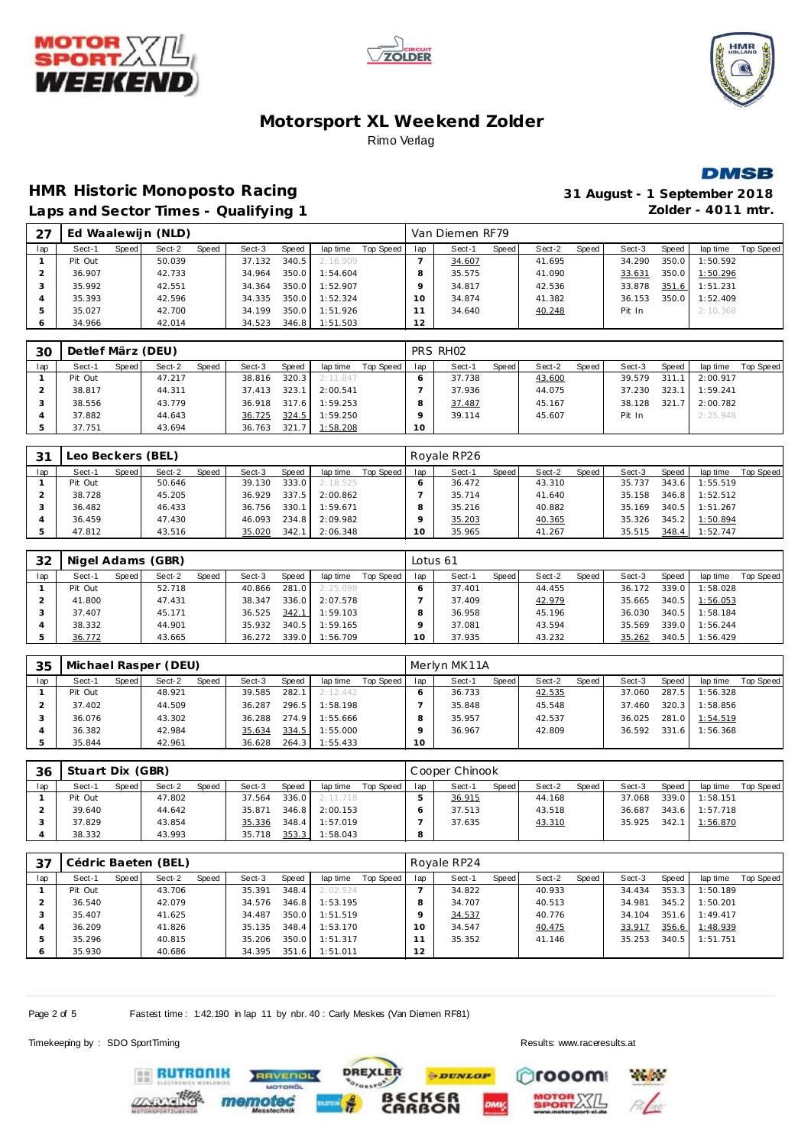







# **HMR Historic Monoposto Racing 31 August - 1 September 2018**

|     |         |       |                    |       | Laps and Sector Times - Qualifying 1 |        |          |           |     |                 |         |        |       |        |       | Zolder - $4011$ mtr. |           |
|-----|---------|-------|--------------------|-------|--------------------------------------|--------|----------|-----------|-----|-----------------|---------|--------|-------|--------|-------|----------------------|-----------|
| 27  |         |       | Ed Waalewijn (NLD) |       |                                      |        |          |           |     | Van Diemen RF79 |         |        |       |        |       |                      |           |
| lap | Sect-1  | Speed | Sect-2             | Speed | Sect-3                               | Speed  | lap time | Top Speed | lap | Sect-1          | Speed I | Sect-2 | Speed | Sect-3 | Speed | lap time             | Top Speed |
|     | Pit Out |       | 50.039             |       | 37.132                               | 340.5  | 2:16.909 |           |     | 34.607          |         | 41.695 |       | 34.290 | 350.0 | 1:50.592             |           |
|     | 36.907  |       | 42.733             |       | 34.964                               | 350.0  | 1:54.604 |           | 8   | 35.575          |         | 41.090 |       | 33.631 | 350.0 | 1:50.296             |           |
|     | 35.992  |       | 42.551             |       | 34.364                               | 350.01 | 1:52.907 |           |     | 34.817          |         | 42.536 |       | 33.878 | 351.6 | 1:51.231             |           |
|     | 35.393  |       | 42.596             |       | 34.335                               | 350.0  | 1:52.324 |           | 10  | 34.874          |         | 41.382 |       | 36.153 | 350.0 | 1:52.409             |           |
|     | 35.027  |       | 42.700             |       | 34.199                               | 350.0  | 1:51.926 |           |     | 34.640          |         | 40.248 |       | Pit In |       | 2:10.368             |           |
|     | 34.966  |       | 42.014             |       | 34.523                               | 346.8  | 1:51.503 |           | 12  |                 |         |        |       |        |       |                      |           |

| 30  | Detlef März (DEU) |       |        |       |        |       |                |           |     | PRS RHO2 |       |        |       |        |       |          |           |
|-----|-------------------|-------|--------|-------|--------|-------|----------------|-----------|-----|----------|-------|--------|-------|--------|-------|----------|-----------|
| lap | Sect-1            | Speed | Sect-2 | Speed | Sect-3 | Speed | lap time       | Top Speed | lap | Sect-1   | Speed | Sect-2 | Speed | Sect-3 | Speed | lap time | Top Speed |
|     | Pit Out           |       | 47.217 |       | 38.816 | 320.3 | 2:11.847       |           |     | 37.738   |       | 43.600 |       | 39.579 | 311.1 | 2:00.917 |           |
|     | 38.817            |       | 44.311 |       | 37.413 | 323.1 | 2:00.541       |           |     | 37.936   |       | 44.075 |       | 37.230 | 323.1 | 1:59.241 |           |
|     | 38.556            |       | 43.779 |       | 36.918 | 317.6 | 1:59.253       |           |     | 37.487   |       | 45.167 |       | 38.128 | 321.7 | 2:00.782 |           |
|     | 37.882            |       | 44.643 |       | 36.725 | 324.5 | 1:59.250       |           |     | 39.114   |       | 45.607 |       | Pit In |       | 2:25.948 |           |
|     | 37.751            |       | 43.694 |       | 36.763 |       | 321.7 1:58.208 |           | 10  |          |       |        |       |        |       |          |           |

| 31  | eo Beckers (BEL) |       |        |       |        |       |          |           |     | Rovale RP26 |       |        |       |        |       |          |           |
|-----|------------------|-------|--------|-------|--------|-------|----------|-----------|-----|-------------|-------|--------|-------|--------|-------|----------|-----------|
| lap | Sect-1           | Speed | Sect-2 | Speed | Sect-3 | Speed | lap time | Top Speed | lap | Sect-1      | Speed | Sect-2 | Speed | Sect-3 | Speed | lap time | Top Speed |
|     | Pit Out          |       | 50.646 |       | 39.130 | 333.0 | 2:18.525 |           |     | 36.472      |       | 43.310 |       | 35.737 | 343.6 | 1:55.519 |           |
|     | 38.728           |       | 45.205 |       | 36.929 | 337.5 | 2:00.862 |           |     | 35.714      |       | 41.640 |       | 35.158 | 346.8 | 1:52.512 |           |
|     | 36.482           |       | 46.433 |       | 36.756 | 330.1 | 1:59.671 |           |     | 35.216      |       | 40.882 |       | 35.169 | 340.5 | 1:51.267 |           |
|     | 36.459           |       | 47.430 |       | 46.093 | 234.8 | 2:09.982 |           |     | 35.203      |       | 40.365 |       | 35.326 | 345.2 | 1:50.894 |           |
|     | 47.812           |       | 43.516 |       | 35.020 | 342.  | 2:06.348 |           | O   | 35.965      |       | 41.267 |       | 35.515 | 348.4 | 1:52.747 |           |

| 32  |         |       | Nigel Adams (GBR) |       |        |       |          |           | Lotus 61 |        |       |        |       |        |       |          |           |
|-----|---------|-------|-------------------|-------|--------|-------|----------|-----------|----------|--------|-------|--------|-------|--------|-------|----------|-----------|
| lap | Sect-1  | Speed | Sect-2            | Speed | Sect-3 | Speed | lap time | Top Speed | lap      | Sect-1 | Speed | Sect-2 | Speed | Sect-3 | Speed | lap time | Top Speed |
|     | Pit Out |       | 52.718            |       | 40.866 | 281.0 | 2:25.098 |           |          | 37.401 |       | 44.455 |       | 36.172 | 339.0 | 1:58.028 |           |
|     | 41.800  |       | 47.431            |       | 38.347 | 336.0 | 2:07.578 |           |          | 37.409 |       | 42.979 |       | 35.665 | 340.5 | 1:56.053 |           |
|     | 37.407  |       | 45.171            |       | 36.525 | 342.1 | 1:59.103 |           |          | 36.958 |       | 45.196 |       | 36.030 | 340.5 | 1:58.184 |           |
|     | 38.332  |       | 44.901            |       | 35.932 | 340.5 | 1:59.165 |           |          | 37.081 |       | 43.594 |       | 35.569 | 339.0 | 1:56.244 |           |
|     | 36.772  |       | 43.665            |       | 36.272 | 339.0 | 1:56.709 |           | 0        | 37.935 |       | 43.232 |       | 35.262 | 340.5 | 1:56.429 |           |

| 35  |         |       | Michael Rasper (DEU) |       |        |       |          |           |         | Merlyn MK11A |       |        |       |        |       |          |           |
|-----|---------|-------|----------------------|-------|--------|-------|----------|-----------|---------|--------------|-------|--------|-------|--------|-------|----------|-----------|
| lap | Sect-1  | Speed | Sect-2               | Speed | Sect-3 | Speed | lap time | Top Speed | lap     | Sect-1       | Speed | Sect-2 | Speed | Sect-3 | Speed | lap time | Top Speed |
|     | Pit Out |       | 48.921               |       | 39.585 | 282.1 | 2:12.442 |           |         | 36.733       |       | 42.535 |       | 37.060 | 287.5 | 1:56.328 |           |
|     | 37.402  |       | 44.509               |       | 36.287 | 296.5 | 1:58.198 |           |         | 35.848       |       | 45.548 |       | 37.460 | 320.3 | 1:58.856 |           |
|     | 36.076  |       | 43.302               |       | 36.288 | 274.9 | 1:55.666 |           |         | 35.957       |       | 42.537 |       | 36.025 | 281.0 | 1:54.519 |           |
|     | 36.382  |       | 42.984               |       | 35.634 | 334.5 | 1:55.000 |           |         | 36.967       |       | 42.809 |       | 36.592 | 331.6 | 1:56.368 |           |
|     | 35.844  |       | 42.961               |       | 36.628 | 264.3 | 1:55.433 |           | $10-10$ |              |       |        |       |        |       |          |           |

| 36  | Stuart Dix (GBR) |       |        |       |        |         |          |           |     | Cooper Chinook |       |        |       |        |       |          |           |
|-----|------------------|-------|--------|-------|--------|---------|----------|-----------|-----|----------------|-------|--------|-------|--------|-------|----------|-----------|
| lap | Sect-1           | Speed | Sect-2 | Speed | Sect-3 | Speed   | lap time | Top Speed | lap | Sect-1         | Speed | Sect-2 | Speed | Sect-3 | Speed | lap time | Top Speed |
|     | Pit Out          |       | 47.802 |       | 37.564 | 336.0 L | 2:11.718 |           |     | 36.915         |       | 44.168 |       | 37.068 | 339.0 | 1:58.151 |           |
|     | 39.640           |       | 44.642 |       | 35.871 | 346.8   | 2:00.153 |           |     | 37.513         |       | 43.518 |       | 36.687 | 343.6 | 1:57.718 |           |
|     | 37.829           |       | 43.854 |       | 35.336 | 348.4   | 1:57.019 |           |     | 37.635         |       | 43.310 |       | 35.925 | 342.1 | 1:56.870 |           |
|     | 38.332           |       | 43.993 |       | 35.718 | 353.3   | 1:58.043 |           | 8   |                |       |        |       |        |       |          |           |

| 37  |         |       | Cédric Baeten (BEL) |       |        |       |          |           |     | Royale RP24 |       |        |       |        |         |          |           |
|-----|---------|-------|---------------------|-------|--------|-------|----------|-----------|-----|-------------|-------|--------|-------|--------|---------|----------|-----------|
| lap | Sect-1  | Speed | Sect-2              | Speed | Sect-3 | Speed | lap time | Top Speed | lap | Sect-1      | Speed | Sect-2 | Speed | Sect-3 | Speed   | lap time | Top Speed |
|     | Pit Out |       | 43.706              |       | 35.391 | 348.4 | 2:02.524 |           |     | 34.822      |       | 40.933 |       | 34.434 | 353.3   | 1:50.189 |           |
|     | 36.540  |       | 42.079              |       | 34.576 | 346.8 | 1:53.195 |           |     | 34.707      |       | 40.513 |       | 34.981 | $345.2$ | 1:50.201 |           |
|     | 35.407  |       | 41.625              |       | 34.487 | 350.0 | 1:51.519 |           |     | 34.537      |       | 40.776 |       | 34.104 | 351.6   | 1:49.417 |           |
|     | 36.209  |       | 41.826              |       | 35.135 | 348.4 | 1:53.170 |           | 10  | 34.547      |       | 40.475 |       | 33.917 | 356.6   | 1:48.939 |           |
|     | 35.296  |       | 40.815              |       | 35.206 | 350.0 | 1:51.317 |           |     | 35.352      |       | 41.146 |       | 35.253 | 340.5   | 1:51.751 |           |
|     | 35.930  |       | 40.686              |       | 34.395 | 351.6 | 1:51.011 |           | 12  |             |       |        |       |        |         |          |           |

**PDUNLOP** 

**BECKER**<br>CARBON

**DREXLER** 

 $\sim$ 

Page 2 of 5 Fastest time : 1:42.190 in lap 11 by nbr. 40 : Carly Meskes (Van Diemen RF81)

**RAVENOL** 

Timekeeping by : SDO SportTiming Results:<www.raceresults.at>

**Pages** 

rooom

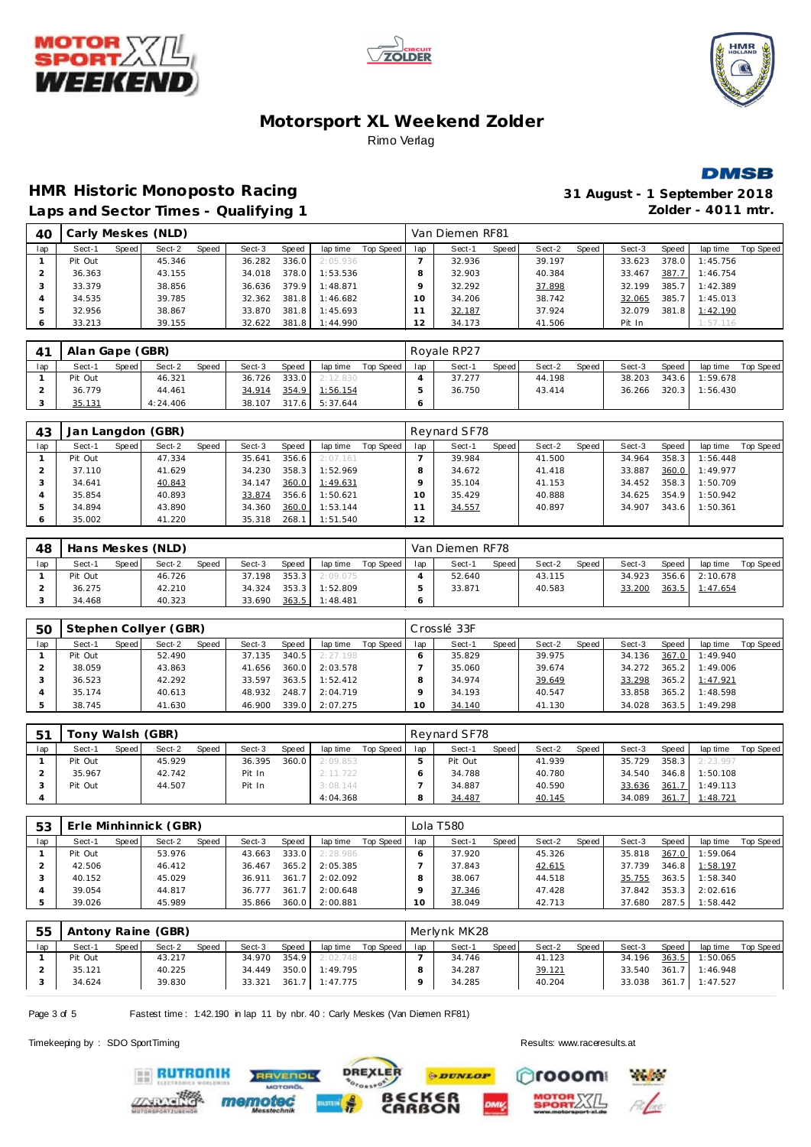







#### **HMR Historic Monoposto Racing 31 August - 1 September 2018** Laps and Sector Times - Qualifying 1 *Zolder - 4011 mtr.*

|     |         |       |                    |       |        | . .   |                |           |                |                 |       |        |       |        |       |          |           |
|-----|---------|-------|--------------------|-------|--------|-------|----------------|-----------|----------------|-----------------|-------|--------|-------|--------|-------|----------|-----------|
| 40  |         |       | Carly Meskes (NLD) |       |        |       |                |           |                | Van Diemen RF81 |       |        |       |        |       |          |           |
| Iap | Sect-1  | Speed | Sect-2             | Speed | Sect-3 | Speed | lap time       | Top Speed | lap            | Sect-1          | Speed | Sect-2 | Speed | Sect-3 | Speed | lap time | Top Speed |
|     | Pit Out |       | 45.346             |       | 36.282 | 336.0 | 2:05.936       |           |                | 32.936          |       | 39.197 |       | 33.623 | 378.0 | 1:45.756 |           |
|     | 36.363  |       | 43.155             |       | 34.018 | 378.0 | 1:53.536       |           | 8              | 32.903          |       | 40.384 |       | 33.467 | 387.7 | 1:46.754 |           |
| చ   | 33.379  |       | 38.856             |       | 36.636 |       | 379.9 1:48.871 |           |                | 32.292          |       | 37.898 |       | 32.199 | 385.7 | 1:42.389 |           |
| 4   | 34.535  |       | 39.785             |       | 32.362 |       | 381.8 1:46.682 |           | 10             | 34.206          |       | 38.742 |       | 32.065 | 385.7 | 1:45.013 |           |
|     | 32.956  |       | 38.867             |       | 33.870 |       | 381.8 1:45.693 |           |                | 32.187          |       | 37.924 |       | 32.079 | 381.8 | 1:42.190 |           |
| Ô   | 33.213  |       | 39.155             |       | 32.622 |       | 381.8 1:44.990 |           | $\overline{2}$ | 34.173          |       | 41.506 |       | Pit In |       | 1:57.116 |           |

|     | Alan Gape (GBR) |       |          |       |        |       |                |           |     | Rovale RP27 |       |        |       |        |         |          |           |
|-----|-----------------|-------|----------|-------|--------|-------|----------------|-----------|-----|-------------|-------|--------|-------|--------|---------|----------|-----------|
| lap | Sect-1          | Speed | Sect-2   | Speed | Sect-3 | Speed | lap time       | Top Speed | lap | Sect-1      | Speed | Sect-2 | Speed | Sect-3 | Speed   | lap time | Top Speed |
|     | Pit Out         |       | 46.321   |       | 36.726 | 333.0 | 2:12.830       |           |     | 37.277      |       | 44.198 |       | 38.203 | $343.6$ | 1:59.678 |           |
|     | 36.779          |       | 44.461   |       | 34.914 |       | 354.9 1:56.154 |           |     | 36.750      |       | 43.414 |       | 36.266 | 320.3   | 1:56.430 |           |
|     | 35.131          |       | 4:24.406 |       | 38.107 |       | 317.6 5:37.644 |           |     |             |       |        |       |        |         |          |           |

| 43  | Jan Langdon (GBR) |       |        |       |        |       |          |           |     | Reynard SF78 |       |        |       |        |       |          |           |
|-----|-------------------|-------|--------|-------|--------|-------|----------|-----------|-----|--------------|-------|--------|-------|--------|-------|----------|-----------|
| lap | Sect-1            | Speed | Sect-2 | Speed | Sect-3 | Speed | lap time | Top Speed | lap | Sect-1       | Speed | Sect-2 | Speed | Sect-3 | Speed | lap time | Top Speed |
|     | Pit Out           |       | 47.334 |       | 35.641 | 356.6 | 2:07.161 |           |     | 39.984       |       | 41.500 |       | 34.964 | 358.3 | 1:56.448 |           |
|     | 37.110            |       | 41.629 |       | 34.230 | 358.3 | 1:52.969 |           |     | 34.672       |       | 41.418 |       | 33.887 | 360.0 | 1:49.977 |           |
|     | 34.641            |       | 40.843 |       | 34.147 | 360.0 | 1:49.631 |           |     | 35.104       |       | 41.153 |       | 34.452 | 358.3 | 1:50.709 |           |
|     | 35.854            |       | 40.893 |       | 33.874 | 356.6 | 1:50.621 |           |     | 35.429       |       | 40.888 |       | 34.625 | 354.9 | 1:50.942 |           |
|     | 34.894            |       | 43.890 |       | 34.360 | 360.0 | 1:53.144 |           |     | 34.557       |       | 40.897 |       | 34.907 | 343.6 | 1:50.361 |           |
| O   | 35.002            |       | 41.220 |       | 35.318 | 268.1 | 1:51.540 |           | 12  |              |       |        |       |        |       |          |           |

| 48  |         |       | Hans Meskes (NLD) |       |        |       |          |             |     | Van Diemen RF78 |       |        |       |        |       |                |           |
|-----|---------|-------|-------------------|-------|--------|-------|----------|-------------|-----|-----------------|-------|--------|-------|--------|-------|----------------|-----------|
| lap | Sect-1  | Speed | Sect-2            | Speed | Sect-3 | Speed | lap time | Top Speed I | lap | Sect-1          | Speed | Sect-2 | Speed | Sect-3 | Speed | lap time       | Top Speed |
|     | Pit Out |       | 46.726            |       | 37.198 | 353.3 | 2:09.075 |             |     | 52.640          |       | 43.115 |       | 34.923 |       | 356.6 2:10.678 |           |
|     | 36.275  |       | 42.210            |       | 34.324 | 353.3 | 1:52.809 |             |     | 33.871          |       | 40.583 |       | 33.200 | 363.5 | 1:47.654       |           |
|     | 34.468  |       | 40.323            |       | 33.690 | 363.5 | 1:48.481 |             |     |                 |       |        |       |        |       |                |           |

| 5C  |         |       | Stephen Collyer (GBR) |              |        |       |          |           |     | Crosslé 33F |       |        |                    |        |       |          |           |
|-----|---------|-------|-----------------------|--------------|--------|-------|----------|-----------|-----|-------------|-------|--------|--------------------|--------|-------|----------|-----------|
| lap | Sect-1  | Speed | Sect-2                | <b>Speed</b> | Sect-3 | Speed | lap time | Top Speed | lap | Sect-1      | Speed | Sect-2 | Speed <sub>I</sub> | Sect-3 | Speed | lap time | Top Speed |
|     | Pit Out |       | 52.490                |              | 37.135 | 340.5 | 2:27.198 |           |     | 35.829      |       | 39.975 |                    | 34.136 | 367.0 | 1:49.940 |           |
|     | 38.059  |       | 43.863                |              | 41.656 | 360.0 | 2:03.578 |           |     | 35.060      |       | 39.674 |                    | 34.272 | 365.2 | 1:49.006 |           |
|     | 36.523  |       | 42.292                |              | 33.597 | 363.5 | 1:52.412 |           |     | 34.974      |       | 39.649 |                    | 33.298 | 365.2 | 1:47.921 |           |
|     | 35.174  |       | 40.613                |              | 48.932 | 248.7 | 2:04.719 |           |     | 34.193      |       | 40.547 |                    | 33.858 | 365.2 | 1:48.598 |           |
|     | 38.745  |       | 41.630                |              | 46.900 | 339.0 | 2:07.275 |           |     | 34.140      |       | 41.130 |                    | 34.028 | 363.5 | 1:49.298 |           |

| 5 <sup>1</sup> | Tony Walsh (GBR) |       |        |       |        |       |          |           |     | Reynard SF78 |         |        |       |        |       |          |           |
|----------------|------------------|-------|--------|-------|--------|-------|----------|-----------|-----|--------------|---------|--------|-------|--------|-------|----------|-----------|
| lap            | Sect-1           | Speed | Sect-2 | Speed | Sect-3 | Speed | lap time | Top Speed | lap | Sect-1       | Speed I | Sect-2 | Speed | Sect-3 | Speed | lap time | Top Speed |
|                | Pit Out          |       | 45.929 |       | 36.395 | 360.0 | 2:09.853 |           |     | Pit Out      |         | 41.939 |       | 35.729 | 358.3 | 2:23.997 |           |
|                | 35.967           |       | 42.742 |       | Pit In |       | 2:11.722 |           |     | 34.788       |         | 40.780 |       | 34.540 | 346.8 | 1:50.108 |           |
|                | Pit Out          |       | 44.507 |       | Pit In |       | 3:08.144 |           |     | 34.887       |         | 40.590 |       | 33.636 | 361.7 | 1:49.113 |           |
|                |                  |       |        |       |        |       | 4:04.368 |           |     | 34.487       |         | 40.145 |       | 34.089 | 361.7 | 1:48.721 |           |

| 53  |         |       | Erle Minhinnick (GBR) |       |        |       |          |           |           | Lola T580 |       |        |       |        |       |          |           |
|-----|---------|-------|-----------------------|-------|--------|-------|----------|-----------|-----------|-----------|-------|--------|-------|--------|-------|----------|-----------|
| lap | Sect-1  | Speed | Sect-2                | Speed | Sect-3 | Speed | lap time | Top Speed | lap       | Sect-1    | Speed | Sect-2 | Speed | Sect-3 | Speed | lap time | Top Speed |
|     | Pit Out |       | 53.976                |       | 43.663 | 333.0 | 2:28.986 |           |           | 37.920    |       | 45.326 |       | 35.818 | 367.0 | 1:59.064 |           |
|     | 42.506  |       | 46.412                |       | 36.467 | 365.2 | 2:05.385 |           |           | 37.843    |       | 42.615 |       | 37.739 | 346.8 | 1:58.197 |           |
|     | 40.152  |       | 45.029                |       | 36.911 | 361.7 | 2:02.092 |           |           | 38.067    |       | 44.518 |       | 35.755 | 363.5 | 1:58.340 |           |
|     | 39.054  |       | 44.817                |       | 36.777 | 361.7 | 2:00.648 |           |           | 37.346    |       | 47.428 |       | 37.842 | 353.3 | 2:02.616 |           |
|     | 39.026  |       | 45.989                |       | 35.866 | 360.0 | 2:00.881 |           | $10^{-1}$ | 38.049    |       | 42.713 |       | 37.680 | 287.5 | 1:58.442 |           |

| 55  |         |       | Antony Raine (GBR) |              |        |       |          |           |     | Merlynk MK28 |       |        |       |        |       |          |           |
|-----|---------|-------|--------------------|--------------|--------|-------|----------|-----------|-----|--------------|-------|--------|-------|--------|-------|----------|-----------|
| lap | Sect-1  | Speed | Sect-2             | <b>Speed</b> | Sect-3 | Speed | lap time | Top Speed | lap | Sect-1       | Speed | Sect-2 | Speed | Sect-3 | Speed | lap time | Top Speed |
|     | Pit Out |       | 43.217             |              | 34.970 | 354.9 | 2:02.748 |           |     | 34.746       |       | 41.123 |       | 34.196 | 363.5 | 1:50.065 |           |
|     | 35.121  |       | 40.225             |              | 34.449 | 350.0 | 1:49.795 |           |     | 34.287       |       | 39.121 |       | 33.540 | 361.7 | 1:46.948 |           |
|     | 34.624  |       | 39.830             |              | 33.321 | 361.7 | 1:47.775 |           |     | 34.285       |       | 40.204 |       | 33.038 | 361.7 | 1:47.527 |           |

Page 3 of 5 Fastest time: 1:42.190 in lap 11 by nbr. 40 : Carly Meskes (Van Diemen RF81)

**TVENDL** 

**EE RUTRONIK** 

Timekeeping by : SDO SportTiming Results:<www.raceresults.at>





**Paul Co**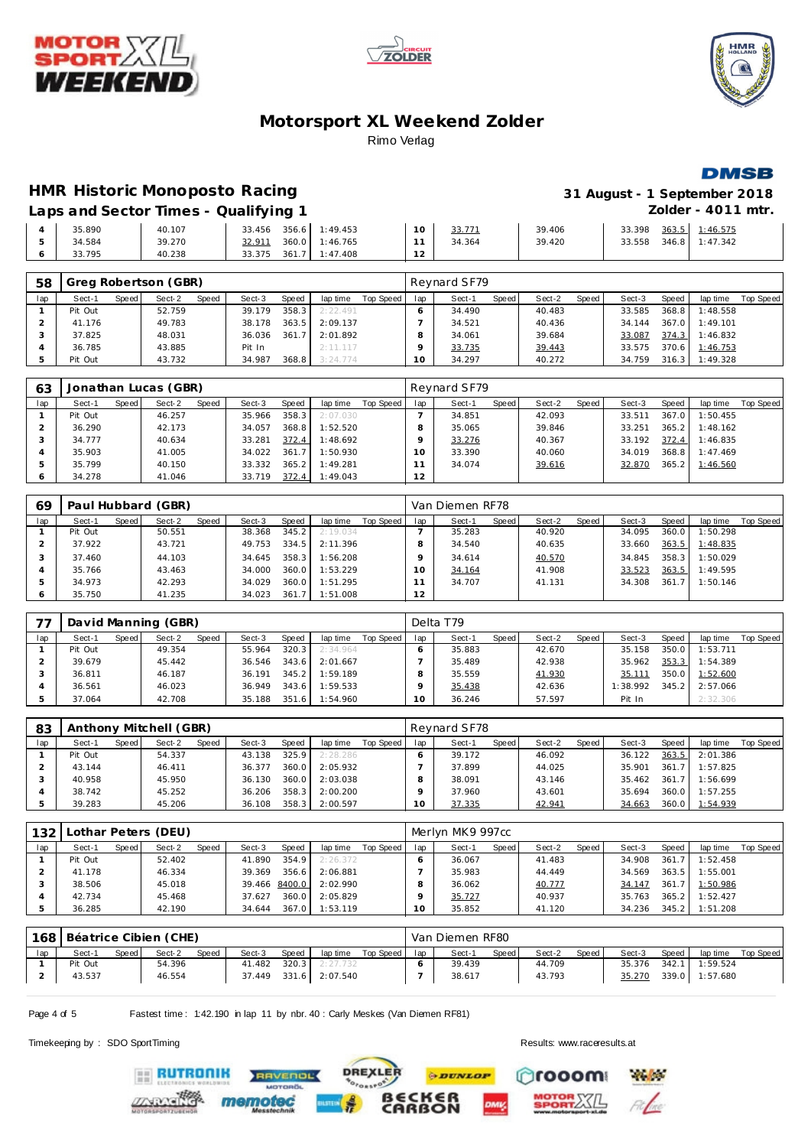





**DMSB** 

**HMR Historic Monoposto Racing** 

| 31 August - 1 September 2018 |
|------------------------------|
| Zolder - $4011$ mtr.         |

Laps and Sector Times - Qualifying 1

|  | 35.890 | 40.107 | 33.456 | 356.6 1:49.453 | 10     | 33.771 | 39.406 | 363.5<br>33.398 | 1:46.575 |  |
|--|--------|--------|--------|----------------|--------|--------|--------|-----------------|----------|--|
|  | 34.584 | 39.270 | 32.911 | 360.0 1:46.765 |        | 34.364 | 39.420 | 346.8<br>33.558 | 1:47.342 |  |
|  | 33.795 | 40.238 | 33.375 | 361.7 1:47.408 | $\sim$ |        |        |                 |          |  |

| 58  |         |       | Greg Robertson (GBR) |              |        |       |          |           |     | Reynard SF79 |       |        |       |        |              |                  |           |
|-----|---------|-------|----------------------|--------------|--------|-------|----------|-----------|-----|--------------|-------|--------|-------|--------|--------------|------------------|-----------|
| lap | Sect-1  | Speed | Sect-2               | <b>Speed</b> | Sect-3 | Speed | lap time | Top Speed | lap | Sect-1       | Speed | Sect-2 | Speed | Sect-3 | <b>Speed</b> | lap time         | Top Speed |
|     | Pit Out |       | 52.759               |              | 39.179 | 358.3 | 2:22.491 |           |     | 34.490       |       | 40.483 |       | 33.585 | 368.8        | 1:48.558         |           |
|     | 41.176  |       | 49.783               |              | 38.178 | 363.5 | 2:09.137 |           |     | 34.521       |       | 40.436 |       | 34.144 | 367.0        | 1:49.101         |           |
|     | 37.825  |       | 48.031               |              | 36.036 | 361.7 | 2:01.892 |           |     | 34.061       |       | 39.684 |       | 33.087 |              | 374.3 1:46.832   |           |
|     | 36.785  |       | 43.885               |              | Pit In |       | 2:11.117 |           |     | 33.735       |       | 39.443 |       | 33.575 |              | 370.6 1:46.753   |           |
|     | Pit Out |       | 43.732               |              | 34.987 | 368.8 | 3:24.774 |           | 10  | 34.297       |       | 40.272 |       | 34.759 |              | $316.3$ 1:49.328 |           |

| 63      |         |       | Jonathan Lucas (GBR) |       |        |       |          |           |     | Reynard SF79 |       |        |       |        |       |          |           |
|---------|---------|-------|----------------------|-------|--------|-------|----------|-----------|-----|--------------|-------|--------|-------|--------|-------|----------|-----------|
| lap     | Sect-1  | Speed | Sect-2               | Speed | Sect-3 | Speed | lap time | Top Speed | lap | Sect-1       | Speed | Sect-2 | Speed | Sect-3 | Speed | lap time | Top Speed |
|         | Pit Out |       | 46.257               |       | 35.966 | 358.3 | 2:07.030 |           |     | 34.851       |       | 42.093 |       | 33.511 | 367.0 | 1:50.455 |           |
|         | 36.290  |       | 42.173               |       | 34.057 | 368.8 | 1:52.520 |           |     | 35.065       |       | 39.846 |       | 33.251 | 365.2 | 1:48.162 |           |
|         | 34.777  |       | 40.634               |       | 33.281 | 372.4 | 1:48.692 |           |     | 33.276       |       | 40.367 |       | 33.192 | 372.4 | 1:46.835 |           |
|         | 35.903  |       | 41.005               |       | 34.022 | 361.7 | 1:50.930 |           |     | 33.390       |       | 40.060 |       | 34.019 | 368.8 | 1:47.469 |           |
| 5       | 35.799  |       | 40.150               |       | 33.332 | 365.2 | 1:49.281 |           |     | 34.074       |       | 39.616 |       | 32.870 | 365.2 | 1:46.560 |           |
| $\circ$ | 34.278  |       | 41.046               |       | 33.719 | 372.4 | 1:49.043 |           | 2   |              |       |        |       |        |       |          |           |

| 69  |         |       | Paul Hubbard (GBR) |       |        |       |          |           |     | Van Diemen RF78 |       |        |       |        |       |          |           |
|-----|---------|-------|--------------------|-------|--------|-------|----------|-----------|-----|-----------------|-------|--------|-------|--------|-------|----------|-----------|
| lap | Sect-1  | Speed | Sect-2             | Speed | Sect-3 | Speed | lap time | Top Speed | lap | Sect-1          | Speed | Sect-2 | Speed | Sect-3 | Speed | lap time | Top Speed |
|     | Pit Out |       | 50.551             |       | 38.368 | 345.2 | 2:19.034 |           |     | 35.283          |       | 40.920 |       | 34.095 | 360.0 | 1:50.298 |           |
|     | 37.922  |       | 43.721             |       | 49.753 | 334.5 | 2:11.396 |           | 8   | 34.540          |       | 40.635 |       | 33.660 | 363.5 | 1:48.835 |           |
|     | 37.460  |       | 44.103             |       | 34.645 | 358.3 | 1:56.208 |           |     | 34.614          |       | 40.570 |       | 34.845 | 358.3 | 1:50.029 |           |
|     | 35.766  |       | 43.463             |       | 34.000 | 360.0 | 1:53.229 |           |     | 34.164          |       | 41.908 |       | 33.523 | 363.5 | 1:49.595 |           |
| .5  | 34.973  |       | 42.293             |       | 34.029 | 360.0 | 1:51.295 |           |     | 34.707          |       | 41.131 |       | 34.308 | 361.7 | 1:50.146 |           |
|     | 35.750  |       | 41.235             |       | 34.023 | 361   | 1:51.008 |           | 2   |                 |       |        |       |        |       |          |           |

| 77  |         |       | David Manning (GBR) |       |        |       |          |           |         | Delta T79 |       |        |       |          |       |          |           |
|-----|---------|-------|---------------------|-------|--------|-------|----------|-----------|---------|-----------|-------|--------|-------|----------|-------|----------|-----------|
| lap | Sect-1  | Speed | Sect-2              | Speed | Sect-3 | Speed | lap time | Top Speed | lap     | Sect-1    | Speed | Sect-2 | Speed | Sect-3   | Speed | lap time | Top Speed |
|     | Pit Out |       | 49.354              |       | 55.964 | 320.3 | 2:34.964 |           |         | 35.883    |       | 42.670 |       | 35.158   | 350.0 | 1:53.711 |           |
|     | 39.679  |       | 45.442              |       | 36.546 | 343.6 | 2:01.667 |           |         | 35.489    |       | 42.938 |       | 35.962   | 353.3 | 1:54.389 |           |
|     | 36.811  |       | 46.187              |       | 36.191 | 345.2 | 1:59.189 |           |         | 35.559    |       | 41.930 |       | 35.111   | 350.0 | 1:52.600 |           |
|     | 36.561  |       | 46.023              |       | 36.949 | 343.6 | 1:59.533 |           |         | 35.438    |       | 42.636 |       | 1:38.992 | 345.2 | 2:57.066 |           |
|     | 37.064  |       | 42.708              |       | 35.188 | 351.6 | 1:54.960 |           | $\circ$ | 36.246    |       | 57.597 |       | Pit In   |       | 2:32.306 |           |

| 83  |         |       | Anthony Mitchell (GBR) |       |        |       |          |           |     | Reynard SF78 |       |        |       |        |       |          |           |
|-----|---------|-------|------------------------|-------|--------|-------|----------|-----------|-----|--------------|-------|--------|-------|--------|-------|----------|-----------|
| lap | Sect-1  | Speed | Sect-2                 | Speed | Sect-3 | Speed | lap time | Top Speed | lap | Sect-1       | Speed | Sect-2 | Speed | Sect-3 | Speed | lap time | Top Speed |
|     | Pit Out |       | 54.337                 |       | 43.138 | 325.9 | 2:28.286 |           |     | 39.172       |       | 46.092 |       | 36.122 | 363.5 | 2:01.386 |           |
|     | 43.144  |       | 46.411                 |       | 36.377 | 360.0 | 2:05.932 |           |     | 37.899       |       | 44.025 |       | 35.901 | 361.7 | 1:57.825 |           |
|     | 40.958  |       | 45.950                 |       | 36.130 | 360.0 | 2:03.038 |           |     | 38.091       |       | 43.146 |       | 35.462 | 361.7 | 1:56.699 |           |
|     | 38.742  |       | 45.252                 |       | 36.206 | 358.3 | 2:00.200 |           |     | 37.960       |       | 43.601 |       | 35.694 | 360.0 | 1:57.255 |           |
|     | 39.283  |       | 45.206                 |       | 36.108 | 358.3 | 2:00.597 |           |     | 37.335       |       | 42.941 |       | 34.663 | 360.0 | 1:54.939 |           |

| 132 |         |         | Lothar Peters (DEU) |       |        |               |          |           |     | Merlyn MK9 997cc |       |        |        |        |       |          |           |
|-----|---------|---------|---------------------|-------|--------|---------------|----------|-----------|-----|------------------|-------|--------|--------|--------|-------|----------|-----------|
| lap | Sect-1  | Speed I | Sect-2              | Speed | Sect-3 | Speed         | lap time | Top Speed | lap | Sect-1           | Speed | Sect-2 | Speed, | Sect-3 | Speed | lap time | Top Speed |
|     | Pit Out |         | 52.402              |       | 41.890 | 354.9         | 2:26.372 |           |     | 36.067           |       | 41.483 |        | 34.908 | 361.  | 1:52.458 |           |
|     | 41.178  |         | 46.334              |       | 39.369 | 356.6         | 2:06.881 |           |     | 35.983           |       | 44.449 |        | 34.569 | 363.5 | 1:55.001 |           |
|     | 38.506  |         | 45.018              |       |        | 39.466 8400.0 | 2:02.990 |           |     | 36.062           |       | 40.777 |        | 34.147 | 361.7 | 1:50.986 |           |
|     | 42.734  |         | 45.468              |       | 37.627 | 360.0         | 2:05.829 |           |     | 35.727           |       | 40.937 |        | 35.763 | 365.2 | 1:52.427 |           |
|     | 36.285  |         | 42.190              |       | 34.644 | 367.0         | 1:53.119 |           |     | 35.852           |       | 41.120 |        | 34.236 | 345.2 | 1:51.208 |           |

| 168 | Béatrice Cibien (CHE) |         |        |       |        |       |                |           |     | Van Diemen RF80 |         |        |       |        |       |          |           |
|-----|-----------------------|---------|--------|-------|--------|-------|----------------|-----------|-----|-----------------|---------|--------|-------|--------|-------|----------|-----------|
| lap | Sect-1                | Speed i | Sect-2 | Speed | Sect-3 | Speed | lap time       | Top Speed | lap | Sect-1          | Speed I | Sect-2 | Speed | Sect-3 | Speed | lap time | Top Speed |
|     | Pit Out               |         | 54.396 |       | 41.482 | 320.3 | 2:27.732       |           |     | 39.439          |         | 44.709 |       | 35.376 | 342.1 | 1:59.524 |           |
|     | 43.537                |         | 46.554 |       | 37.449 |       | 331.6 2:07.540 |           |     | 38.617          |         | 43.793 |       | 35.270 | 339.0 | 1:57.680 |           |

Page 4 of 5 Fastest time: 1:42.190 in lap 11 by nbr. 40: Carly Meskes (Van Diemen RF81)

Timekeeping by : SDO SportTiming Results:<www.raceresults.at>